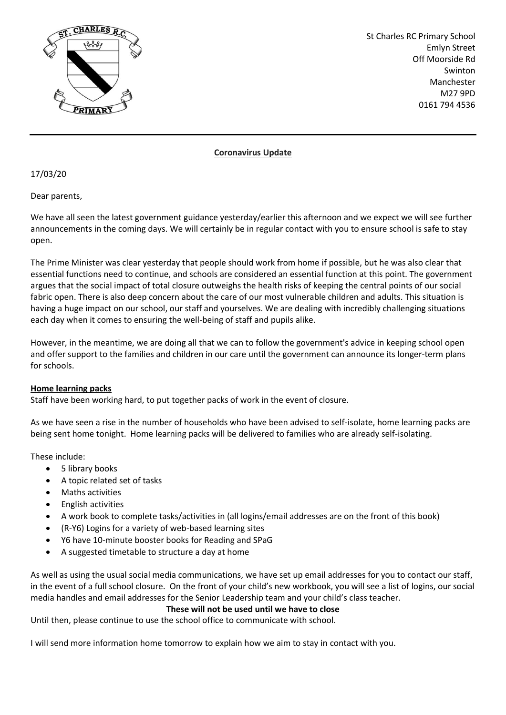

St Charles RC Primary School Emlyn Street Off Moorside Rd Swinton Manchester M27 9PD 0161 794 4536

## **Coronavirus Update**

17/03/20

Dear parents,

We have all seen the latest government guidance yesterday/earlier this afternoon and we expect we will see further announcements in the coming days. We will certainly be in regular contact with you to ensure school is safe to stay open.

The Prime Minister was clear yesterday that people should work from home if possible, but he was also clear that essential functions need to continue, and schools are considered an essential function at this point. The government argues that the social impact of total closure outweighs the health risks of keeping the central points of our social fabric open. There is also deep concern about the care of our most vulnerable children and adults. This situation is having a huge impact on our school, our staff and yourselves. We are dealing with incredibly challenging situations each day when it comes to ensuring the well-being of staff and pupils alike.

However, in the meantime, we are doing all that we can to follow the government's advice in keeping school open and offer support to the families and children in our care until the government can announce its longer-term plans for schools.

## **Home learning packs**

Staff have been working hard, to put together packs of work in the event of closure.

As we have seen a rise in the number of households who have been advised to self-isolate, home learning packs are being sent home tonight. Home learning packs will be delivered to families who are already self-isolating.

These include:

- 5 library books
- A topic related set of tasks
- Maths activities
- English activities
- A work book to complete tasks/activities in (all logins/email addresses are on the front of this book)
- (R-Y6) Logins for a variety of web-based learning sites
- Y6 have 10-minute booster books for Reading and SPaG
- A suggested timetable to structure a day at home

As well as using the usual social media communications, we have set up email addresses for you to contact our staff, in the event of a full school closure. On the front of your child's new workbook, you will see a list of logins, our social media handles and email addresses for the Senior Leadership team and your child's class teacher.

# **These will not be used until we have to close**

Until then, please continue to use the school office to communicate with school.

I will send more information home tomorrow to explain how we aim to stay in contact with you.